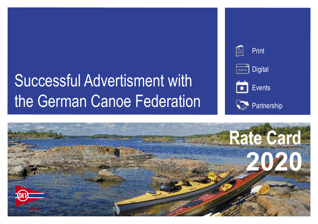# Successful Advertisment with the German Canoe Federation



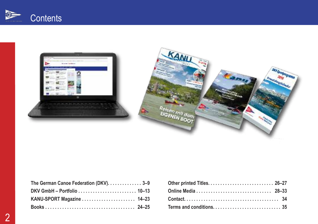





| The German Canoe Federation (DKV). 3-9 |  |
|----------------------------------------|--|
|                                        |  |
| KANU-SPORT Magazine  14-23             |  |
|                                        |  |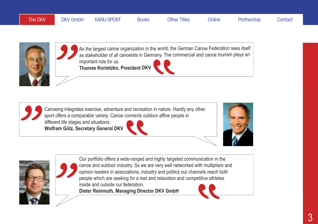



As the largest canoe organization in the world, the German Canoe Federation sees itself as stakeholder of all canoeists in Germany. The commercial and canoe tourism plays an important role for us. **Thomas Konietzko, President DKV**

Canoeing integrates exercise, adventure and recreation in nature. Hardly any other sport offers a comparable variety. Canoe connects outdoor affine people in different life stages and situations.

**Wolfram Götz, Secretary General DKV**







Our portfolio offers a wide-ranged and highly targeted communication in the canoe and outdoor industry. Ss we are very well networked with multipliers and opinion leaders in associations, industry and politics our channels reach both people which are seeking for a rest and relaxation and competitive athletes inside and outside our federation.

**Dieter Reinmuth, Managing Director DKV GmbH**

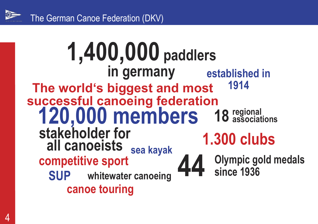

### **The world's biggest and most successful canoeing federation 120,000 members 18 regional stakeholder for all canoeists 1.300 clubs Olympic gold medals since 1936 established in 1914 SUP** whitewater canoeing 44 **canoe touring sea kayak competitive sport 1,400,000 paddlers in germany associations**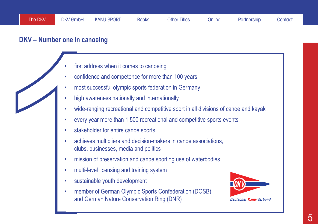### **DKV – Number one in canoeing**

- first address when it comes to canoeing
- confidence and competence for more than 100 years
- most successful olympic sports federation in Germany
- high awareness nationally and internationally
- wide-ranging recreational and competitive sport in all divisions of canoe and kayak
- every year more than 1,500 recreational and competitive sports events
- stakeholder for entire canoe sports
- First address when it comes to canoeing<br>
confidence and competence for more than 100 years<br>
1 most successful olympic sports federation in Germany<br>
1 high awareness nationally and internationally<br>
1 wide-ranging recreation • achieves multipliers and decision-makers in canoe associations, clubs, businesses, media and politics
	- mission of preservation and canoe sporting use of waterbodies
	- multi-level licensing and training system
	- sustainable youth development
	- member of German Olympic Sports Confederation (DOSB) and German Nature Conservation Ring (DNR)

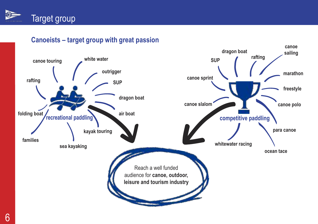

### **Canoeists – target group with great passion**

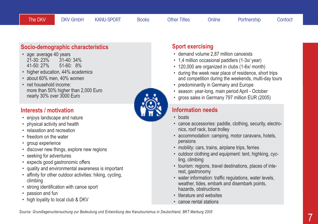### **Socio-demographic characteristics**

- age: average 40 years<br>21-30: 23% 31-40: 34% 21-30: 23%<br>41-50: 27%  $51-60: 8%$
- higher education, 44% academics
- about 60% men, 40% women
- net household income: more than 50% higher than 2,000 Euro nearly 30% over 3000 Euro

### **Interests / motivation**

- enjoys landscape and nature
- physical activity and health
- relaxation and recreation
- freedom on the water
- group experience
- discover new things, explore new regions
- seeking for adventures
- expects good gastronomic offers
- quality and environmental awareness is important
- affinity for other outdoor activities: hiking, cycling, climbing
- strong identification with canoe sport
- passion and fun
- high loyality to local club & DKV

### **Sport exercising**

- demand volume 2,87 million canoeists
- 1,4 million occasional paddlers (1-3x/ year)
- 120,000 are organized in clubs (1-6x/ month)
- during the week near place of residence, short trips and competition during the weekends, multi-day tours
- predominantly in Germany and Europe
- season: year-long, main period April October
- gross sales in Germany 797 million EUR (2005)

### **Information needs**

- boats
- canoe accessories: paddle, clothing, security, electronics, roof rack, boat trolley
- accommodation: camping, motor caravans, hotels, pensions
- mobility: cars, trains, airplane trips, ferries
- outdoor clothing and equipment: tent, highking, cycling, climbing
- tourism: regions, travel destinations, places of interest, gastronomy
- water information: traffic regulations, water levels, weather, tides, embark and disembark points, hazards, obstructions
- literature and websites
- canoe rental stations

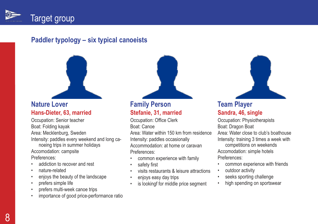

### **Paddler typology – six typical canoeists**



### **Nature Lover Hans-Dieter, 63, married**

Occupation: Senior teacher Boat: Folding kayak Area: Mecklenburg, Sweden Intensity: paddles every weekend and long canoeing trips in summer holidays Accomodation: campsite Preferences:

- addiction to recover and rest
- nature-related
- enjoys the beauty of the landscape
- prefers simple life
- prefers multi-week canoe trips
- importance of good price-performance ratio

### **Family Person Stefanie, 31, married**

Occupation: Office Clerk Boat: Canoe

Area: Water within 150 km from residence Intensity: paddles occasionally Accommodation: at home or caravan Preferences:

- common experience with family
- safety first
- visits restaurants & leisure attractions
- enjoys easy day trips
- is lookingf for middle price seament



### **Team Player Sandra, 46, single**

Occupation: Physiotherapists Boat: Dragon Boat Area: Water close to club's boathouse Intensity: training 3 times a week with competitions on weekends Accomodation: simple hotels Preferences:

- common experience with friends
- outdoor activity
- seeks sporting challenge
- high spending on sportswear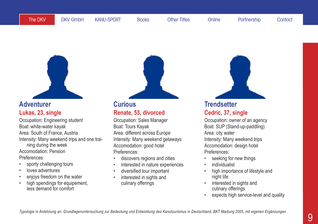

### **Adventurer Lukas, 23, single**

Occupation: Engineering student Boat: white-water kayak Area: South of France, Austria Intensity: Many weekend trips and one training during the week Accomodation: Pension Preferences:

- sporty challenging tours
- loves adventures
- enjoys freedom on the water
- high spendings for equipement, less demand for comfort

# **Curious**

**Renate, 53, divorced**

Occupation: Sales Manager Boat: Tours Kayak Area: different across Europe Intensity: Many weekend getaways Accomodation: good hotel Preferences:

- discovers regions and cities
- interested in nature experiences
- diversified tour important
- interested in sights and culinary offerings



### **Trendsetter Cedric, 37, single**

Occupation: owner of an agency Boat: SUP (Stand-up-paddling) Area: city water Intensity: Many weekend trips Accomodation: design hotel Preferences:

- seeking for new things
- **individualist**
- high importance of lifestyle and night life
- interested in sights and culinary offerings
- expects high service-level and quality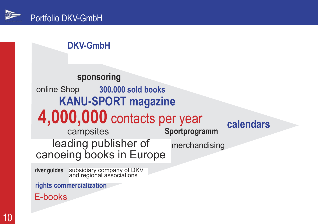### **DKV-GmbH**

### leading publisher of canoeing books in Europe **4,000,000** contacts per year **300.000 sold books Sportprogramm KANU-SPORT magazine calendars sponsoring** campsites online Shop merchandising

**river guides** subsidiary company of DKV and regional associations

**rights commercialization**

E-books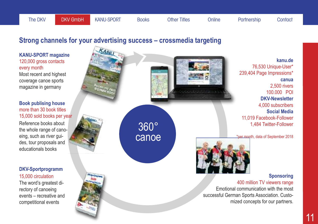### **Strong channels for your advertising success – crossmedia targeting**

360° canoe **KANU-SPORT magazine** 120,000 gross contacts every month **kanu.de** 76,530 Unique-User\* 239,404 Page Impressions\* **canua** 2,500 rivers 100.000 POI **DKV-Newsletter** 4,000 subscribers **Social Media** 11,019 Facebook-Follower 1,484 Twitter-Follower \*per month, data of September 2018 **Sponsoring** 400 million TV viewers range Emotional communication with the most successful German Sports Association. Customized concepts for our partners. Most recent and highest coverage canoe sports magazine in germany Reference books about the whole range of canoeing, such as river guides, tour proposals and educationals books **Book publising house** more than 30 book titles 15,000 sold books per year The word's greatest directory of canoeing events – recreative and competitional events **DKV-Sportprogramm** 15,000 circulation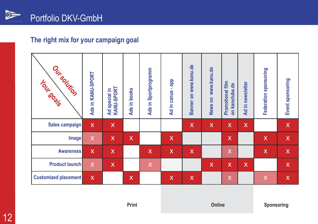

### **The right mix for your campaign goal**

| Oursolution<br><b>Lour dogs</b> | Ads in KANU-SPORT         | Ad special in<br>KANU-SPORT | <b>books</b><br>Ξ.<br><b>Ads</b> | Sportprogramm<br>Ξ.<br><b>Ads</b> | qqp<br>٠<br>Ad in canua | Banner on www.kanu.de     | News on www.kanu.de | Promotional film<br>on kanutube.de | Ad in newsletter          | Federation sponsoring     | Event sponsoring |
|---------------------------------|---------------------------|-----------------------------|----------------------------------|-----------------------------------|-------------------------|---------------------------|---------------------|------------------------------------|---------------------------|---------------------------|------------------|
| Sales campaign                  | X                         | $\mathsf{x}$                |                                  |                                   |                         | $\boldsymbol{\mathsf{X}}$ | $\mathsf{X}$        | $\mathsf{X}$                       | $\mathsf{X}$              |                           | $\mathsf X$      |
| <b>Image</b>                    | $\mathsf{X}$              | $\mathsf{X}$                | $\mathsf{X}$                     |                                   | $\mathsf{x}$            |                           |                     | $\mathsf{X}$                       |                           | $\mathsf{X}$              | $\mathsf{X}$     |
| <b>Awareness</b>                | $\mathsf{X}$              | $\mathsf{X}$                |                                  | $\mathsf{X}$                      | $\mathsf{x}$            | $\boldsymbol{\mathsf{X}}$ |                     | X                                  |                           | $\mathsf{X}$              | $\mathsf{X}$     |
| <b>Product launch</b>           | $\boldsymbol{\mathsf{X}}$ | $\mathsf{X}$                |                                  | $\overline{\mathsf{X}}$           |                         |                           | $\mathsf{X}$        | $\mathsf{X}$                       | $\boldsymbol{\mathsf{X}}$ |                           | $\mathsf X$      |
| <b>Customized placement</b>     | $\mathsf{X}$              |                             | $\mathsf{X}$                     |                                   | $\mathsf{X}$            | $\boldsymbol{\mathsf{X}}$ |                     | X                                  |                           | $\boldsymbol{\mathsf{X}}$ | $\mathsf{X}$     |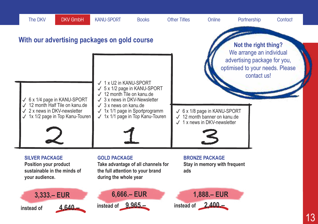

**1,888.– EUR**

**instead of 2,400.–**

**6,666.– EUR**

**instead of 9,965.–**

**3,333.– EUR instead of 4,640.–**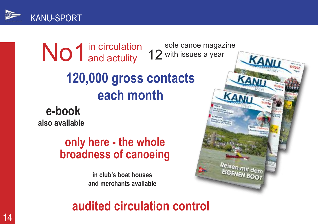

in circulation No1<sup>in circulatio</sup><br>and actulity **120,000 gross contacts each month** sole canoe magazine 12 with issues a year

**e-book also available**

## **only here - the whole broadness of canoeing**

**in club's boat houses and merchants available**

**audited circulation control**

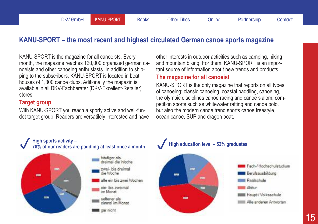### **KANU-SPORT – the most recent and highest circulated German canoe sports magazine**

KANU-SPORT is the magazine for all canoeists. Every month, the magazine reaches 120,000 organized german canoeists and other canoeing enthusiasts. In addition to shipping to the subscribers, KANU-SPORT is located in boat houses of 1,300 canoe clubs. Aditionally the magazin is available in all DKV-Fachberater (DKV-Excellent-Retailer) stores.

### **Target group**

With KANU-SPORT you reach a sporty active and well-fundet target group. Readers are versatilely interested and have other interests in outdoor acticities such as camping, hiking and mountain biking. For them, KANU-SPORT is an important source of information about new trends and products.

#### **The magazine for all canoeist**

KANU-SPORT is the only magazine that reports on all types of canoeing: classic canoeing, coastal paddling, canoeing, the olympic disciplines canoe racing and canoe slalom, competition sports such as whitewater rafting and canoe polo, but also the modern canoe trend sports canoe freestyle, ocean canoe, SUP and dragon boat.



# High sports activity -<br>78% of our readers are paddling at least once a month<br>Tigh education level - 52% graduates



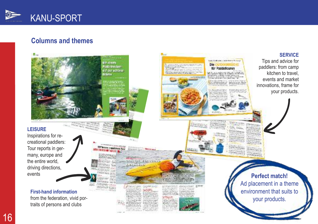

### **Columns and themes**



1 6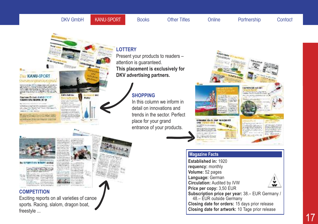#### The DKV GmbH **KANU-SPORT** Books Other Titles Online Partnership Contact

**EXT WATER** 

dava reisen Automotives

**ESPALISONOSI** 

## *DAT KANU-SPORT* **EAPIRAIO LALICITACA**

**SENSON** 

#### Continues for both KANJ (2008) CLEAR CONVIRTING DO 19

**CONTRACTOR** 

**College for Jan Way of Car Print, Print, Jan Day STANDARD CORPORATIONS** 

#### **LOTTERY**

Present your products to readers – attention is guaranteed. **This placement is exclusively for DKV advertising partners.**

### **SHOPPING**

In this column we inform in detail on innovations and trends in the sector. Perfect place for your grand entrance of your products.



#### **Magazine Facts**

**Established in:** 1920 **requency:** monthly **Volume:** 52 pages **Language:** German **Circulation:** Audited by IVW v ŵ **Price per copy:** 3,50 EUR **Subscription price per year:** 38.– EUR Germany / 48.– EUR outside Germany **Closing date for orders:** 15 days prior release

**Closing date for artwork:** 10 Tage prior release







Politic

#### **COMPETITION**

Exciting reports on all varieties of canoe sports. Racing, slalom, dragon boat, freestyle ...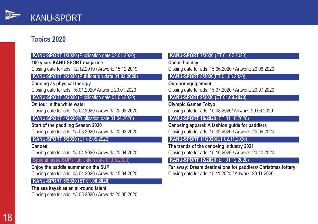

### **Topics 2020**

#### **KANU-SPORT 1/2020** (Publication date 02.01.2020)

**100 years KANU-SPORT magazine**

Closing date for ads: 12.12.2019 / Artwork: 15.12.2019

#### **KANU-SPORT 2/2020 (Publication date 01.02.2020)**

**Canoing as physical therapy** Closing date for ads: 16.01.2020/ Artwork: 20.01.2020

**KANU-SPORT 3/2020** (Publication date 01.03.2020)

**On tour in the white water** Closing date for ads: 15.02.2020 / Artwork: 20.02.2020

**KANU-SPORT 4/2020**(Publication date 01.04.2020)

**Start of the paddling Season 2020** Closing date for ads: 15.03.2020 / Artwork: 20.03.2020

#### **KANU-SPORT 5/2020** (ET 02.05.2020)

**Canoes** Closing date for ads: 15.04.2020 / Artwork: 20.04.2020

**Special Issue SUP** (Publication date 01.05.2020)

**Enjoy the paddle summer on the SUP** Closing date for ads: 05.04.2020 / Artwork: 15.04.2020

#### **KANU-SPORT 6/2020 (ET 01.06.2020)**

**The sea kayak as an all-round talent** Closing date for ads: 15.05.2020 / Artwork: 20.05.2020

#### **KANU-SPORT 7/2020** (ET 01.07.2020)

**Canoe holiday**

Closing date for ads: 15.06.2020 / Artwork: 20.06.2020

#### **KANU-SPORT 8/2020**(ET 01.08.2020)

**Outdoor equipement** Closing date for ads: 15.07.2020 / Artwork: 20.07.2020

#### **KANU-SPORT 9/2020 (ET 01.09.2020)**

**Olympic Games Tokyo** Closing date for ads: 15.08.2020/ Artwork: 20.08.2020

**KANU-SPORT 10/2020** (ET 01.10.2020)

**Canoeing apparel: A fashion guide for paddlers** Closing date for ads: 15.09.2020 / Artwork: 20.09.2020

#### **KANU-SPORT 11/2020**(ET 02.11.2020)

**The trends of the canoeing industry 2021** Closing date for ads: 15.10.2020 / Artwork: 20.10.2020

#### **KANU-SPORT 12/2020** (ET 01.12.2020)

**Far away: Dream destinations for paddlers/ Christmas lottery** Closing date for ads: 15.11.2020 / Artwork: 20.11.2020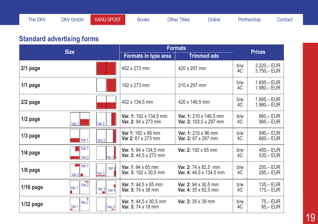### **Standard advertising forms**

|             | <b>Size</b>                         | <b>Formats</b>                                     |                                                         |           | <b>Prices</b>                  |  |
|-------------|-------------------------------------|----------------------------------------------------|---------------------------------------------------------|-----------|--------------------------------|--|
|             |                                     | Formats in type area                               | <b>Trimmed ads</b>                                      |           |                                |  |
| $2/1$ page  |                                     | 402 x 273 mm                                       | 420 x 297 mm                                            | b/w<br>4C | $3.220 - EUR$<br>$3.750 - EUR$ |  |
| $1/1$ page  |                                     | 192 x 273 mm                                       | 210 x 297 mm                                            | b/w<br>4C | 1.695,- EUR<br>1.980,-EUR      |  |
| $2/2$ page  |                                     | 402 x 134,5 mm                                     | 420 x 146,5 mm                                          | b/w<br>4C | 1.695,- EUR<br>1.980,-EUR      |  |
| $1/2$ page  | Var.2<br>Var.1                      | Var. 1: 192 x 134,5 mm<br>Var. 2: 94 x 273 mm      | Var. 1: 210 x 146,5 mm<br><b>Var. 2:</b> 103,5 x 297 mm | b/w<br>4C | 860,-EUR<br>995,- EUR          |  |
| $1/3$ page  | Var.1<br>Var.2                      | Var 1: 192 x 88 mm<br>Var 2: 61 x 273 mm           | Var. 1: 210 x 96 mm<br>Var. 2: 67 x 297 mm              | b/w<br>4C | 590,- EUR<br>660, – EUR        |  |
| $1/4$ page  | Var.1<br>Var.3<br>Var.2             | Var. 1: 94 x 134,5 mm<br>Var. 3: 44,5 x 273 mm     | Var. 2: 192 x 65 mm                                     | b/w<br>4C | 450, - EUR<br>$530 - EUR$      |  |
| 1/8 page    | Var.1<br>Var.4<br>Var.3<br>Var.2    | <b>Var. 1: 94 x 65 mm</b><br>Var. 3: 192 x 30,5 mm | Var. 2: 74 x 82,5 mm<br>Var. 4: 44,5 x 134,5 mm         | b/w<br>4C | $250 - EUR$<br>295,-EUR        |  |
| $1/16$ page | Var.2<br>Var.1<br>Var. $3$ Var. $4$ | Var. 1: 44,5 x 65 mm<br>Var. 3: 74 x 38 mm         | Var. 2: 94 x 30,5 mm<br>Var. 4: 35 x 82,5 mm            | b/w<br>4C | $135 - EUR$<br>$175 - EUR$     |  |
| $1/32$ page | Var.2<br>Var.1<br>Var.3             | Var. 1: 44,5 x 30,5 mm<br>Var. 3: 74 x 18 mm       | Var. 2: 35 x 39 mm                                      | b/w<br>4C | 75,– EUR<br>95,-EUR            |  |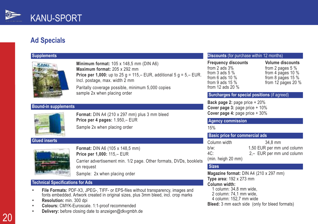

### **Ad Specials**

#### **Supplements**



**Minimum format:** 105 x 148,5 mm (DIN A6) **Maximum format:** 205 x 292 mm **Price per 1,000:** up to 25 g = 115,– EUR, additional 5 g = 5,– EUR. Incl. postage, max. width 2 mm Paritally coverage possible, minimum 5,000 copies sample 2x when placing order

#### **Bound-in supplements**



**Format:** DIN A4 (210 x 297 mm) plus 3 mm bleed **Price per 4 pages:** 1.950,– EUR Sample 2x when placing order

#### **Glued inserts**



**Format:** DIN A6 (105 x 148,5 mm) **Price per 1,000:** 115,– EUR Carrier advertisement min. 1/2 page. Other formats, DVDs, booklets on request

Sample: 2x when placing order

#### **Technical Specifications for Ads**

- **• File Formats:** PDF-X3, JPEG-, TIFF- or EPS-files without transparency, images and fonts embedded. Artwork created in original sizes, plus 3mm bleed, incl. crop marks
- **• Resolution:** min. 300 dpi
- **• Colours:** CMYK-Euroscale. 1:1-proof recommended
- **• Delivery:** before closing date to anzeigen@dkvgmbh.de

#### **Discounts** (for purchase within 12 months)

from 2 ads 3% from 2 pages 5 %<br>from 3 ads 5 % from 4 pages 10 % from 12 ads 20 %

**Frequency discounts**<br> **From** 2 ads 3%<br> **From** 2 pages 5 % from 3 ads 5 % from 4 pages 10 %<br>from 6 ads 10 % from 8 pages 15 % from 6 ads 10 % from 8 pages 15 %<br>from 9 ads 15 % from 12 pages 20 % from 12 pages 20  $%$ 

#### **Surcharges for special positions** (if agreed)

**Back page 2:** page price + 20% **Cover page 3:** page price + 10% **Cover page 4:** page price + 30%

#### **Agency commission**

15%

#### **Basic price for commercial ads**

| Column width       | 34.8 mm                    |
|--------------------|----------------------------|
| $b/w$ :            | 1,50 EUR per mm und column |
| 4C:                | 2,- EUR per mm und column  |
| (min. heigh 20 mm) |                            |

#### **Sizes**

**Magazine format:** DIN A4 (210 x 297 mm) **Type area:** 192 x 273 mm **Column width:** 1 column: 34,8 mm wide, 2 column: 74,1 mm wide, 4 column: 152,7 mm wide **Bleed:** 3 mm each side (only for bleed formats)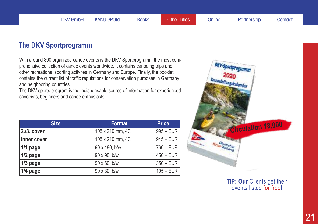### **The DKV Sportprogramm**

With around 800 organized canoe events is the DKV Sportprogramm the most comprehensive collection of canoe events worldwide. It contains canoeing trips and other recreational sporting activites in Germany and Europe. Finally, the booklet contains the current list of traffic regulations for conservation purposes in Germany and neighboring countries.

The DKV sports program is the indispensable source of information for experienced canoeists, beginners and canoe enthusiasts.

| <b>Size</b>   | <b>Format</b>    | <b>Price</b> |
|---------------|------------------|--------------|
| $2.13.$ cover | 105 x 210 mm, 4C | 995,-EUR     |
| Inner cover   | 105 x 210 mm, 4C | 945,-EUR     |
| $1/1$ page    | 90 x 180, b/w    | 760,- EUR    |
| $1/2$ page    | 90 x 90, b/w     | $450 - EUR$  |
| $1/3$ page    | 90 x 60, b/w     | $350 - EUR$  |
| $1/4$ page    | 90 x 30, b/w     | $195 - EUR$  |



**TIP: Our** Clients get their events listed for free!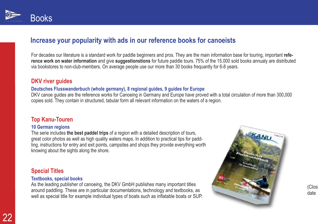

### **Increase your popularity with ads in our reference books for canoeists**

For decades our literature is a standard work for paddle beginners and pros. They are the main information base for touring, important **reference work on water information** and give **suggestionstions** for future paddle tours. 75% of the 15.000 sold books annualy are distributed via bookstores to non-club-members. On average people use our more than 30 books frequantly for 6-8 years.

#### **DKV river guides**

#### **Deutsches Flusswanderbuch (whole germany), 8 regional guides, 9 guides for Europe**

DKV canoe guides are the reference works for Canoeing in Germany and Europe have proved with a total circulation of more than 300,000 copies sold. They contain in structured, tabular form all relevant information on the waters of a region.

#### **Top Kanu-Touren**

#### **10 German regions**

The serie includes **the best paddel trips** of a region with a detailed description of tours, great color photos as well as high quality waters maps. In addition to practical tips for paddling, instructions for entry and exit points, campsites and shops they provide everything worth knowing about the sights along the shore.

#### **Special Titles**

#### **Textbooks, special books**

As the leading publisher of canoeing, the DKV GmbH publishes many important titles around paddling. These are in particular documentations, technology and textbooks, as well as special title for example individual types of boats such as inflatable boats or SUP.



(Closi date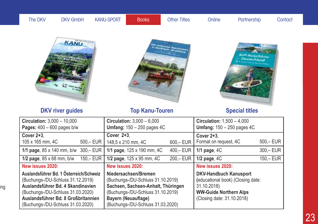| The DKV | <b>DKV GmbH</b> | KANU-SPORT | <b>Books</b> | <b>Other Titles</b> | Online | Partnership | Contact |
|---------|-----------------|------------|--------------|---------------------|--------|-------------|---------|
|         |                 |            |              |                     |        |             |         |

ing

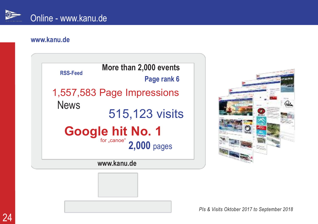

### **www.kanu.de**







*PIs & Visits Oktober 2017 to September 2018*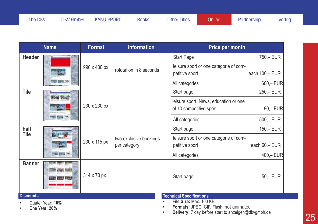The DKV DKV GmbH KANU-SPORT Books Other Titles Conline Partnership Verlag

| <b>Name</b>                       | <b>Format</b> | <b>Information</b>                     | Price per month                                                           |                |
|-----------------------------------|---------------|----------------------------------------|---------------------------------------------------------------------------|----------------|
| <b>Header</b>                     |               |                                        | <b>Start Page</b>                                                         | 750,- EUR      |
|                                   | 990 x 400 px  | rototation in 8 seconds                | leisure sport or one categorie of com-                                    |                |
|                                   |               |                                        | petitive sport                                                            | each 100,- EUR |
|                                   |               |                                        | All categories                                                            | $600 - EUR$    |
| <b>Tile</b>                       |               |                                        | Start page                                                                | 250,-EUR       |
|                                   | 230 x 230 px  |                                        | leisure sport, News, education or one                                     |                |
|                                   |               |                                        | of 10 competitive sport                                                   | $90, -$ EUR    |
|                                   |               |                                        | All categories                                                            | $500 - EUR$    |
| half                              |               |                                        | Start page                                                                | $150 - EUR$    |
| <b>Tile</b>                       | 230 x 115 px  | two exclusive bookings<br>per category | leisure sport or one categorie of com-                                    |                |
|                                   |               |                                        | petitive sport                                                            | each 60,- EUR  |
| -962                              |               |                                        | All categories                                                            | $400 - EUR$    |
| <b>Banner</b>                     | 314 x 70 px   |                                        | Start page                                                                | $50, -$ EUR    |
| <b>Discounts</b>                  |               |                                        | <b>Technical Specifications</b>                                           |                |
| Quater Year: 10%<br>One Year: 20% |               |                                        | File Size: Max. 100 KB.<br><b>Formats: JPEG, GIF, Flash, not animated</b> |                |

**• Delivery:** 7 day before start to anzeigen@dkvgmbh.de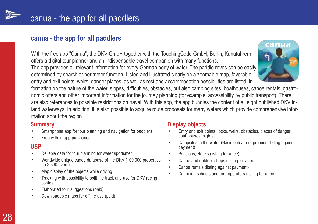

### **canua - the app for all paddlers**

With the free app "Canua", the DKV-GmbH together with the TouchingCode GmbH, Berlin, Kanufahrern offers a digital tour planner and an indispensable travel companion with many functions.

The app provides all relevant information for every German body of water. The paddle reves can be easily determined by search or perimeter function. Listed and illustrated clearly on a zoomable map, favorable entry and exit points, weirs, danger places, as well as rest and accommodation possibilities are listed. In-



formation on the nature of the water, slopes, difficulties, obstacles, but also camping sites, boathouses, canoe rentals, gastronomic offers and other important information for the journey planning (for example, accessibility by public transport). There are also references to possible restrictions on travel. With this app, the app bundles the content of all eight published DKV inland waterways. In addition, it is also possible to acquire route proposals for many waters which provide comprehensive information about the region.

#### **Summary**

- Smartphone app for tour planning and navigation for paddlers
- Free with in-app purchases

#### **USP**

- Reliable data for tour planning for water sportsmen
- Worldwide unique canoe database of the DKV (100,000 properties on 2,500 rivers)
- Map display of the objects while driving
- Tracking with possibility to split the track and use for DKV racing contest
- Elaborated tour suggestions (paid)
- Downloadable maps for offline use (paid)

### **Display objects**

- Entry and exit points, locks, weirs, obstacles, places of danger, boat houses, sights
- Campsites in the water (Basic entry free, premium listing against payment)
- Pensions, Hotels (listing for a fee)
- Canoe and outdoor shops (listing for a fee)
- Canoe rentals (listing against payment)
- Canoeing schools and tour operators (listing for a fee)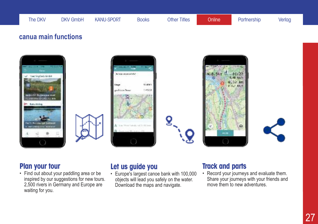### **canua main functions**











### **Plan your tour**

• Find out about your paddling area or be inspired by our suggestions for new tours. 2,500 rivers in Germany and Europe are waiting for you.

### **Let us guide you**

• Europe's largest canoe bank with 100,000 objects will lead you safely on the water. Download the maps and navigate.

### **Track and parts**

• Record your journeys and evaluate them. Share your journeys with your friends and move them to new adventures.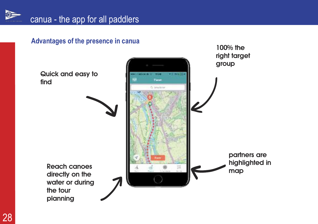

**Advantages of the presence in canua**

**right target groupQuick and easy to** u. Parent **find** O Telection **partners are highlighted in Reach canoes map directly on the water or during the tour planning**

**100% the**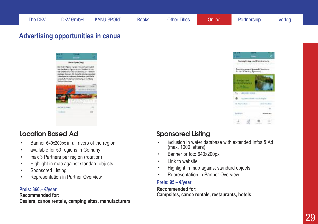### **Advertising opportunities in canua**



### **Location Based Ad**

- Banner 640x200px in all rivers of the region
- available for 50 regions in Gemany
- max 3 Partners per region (rotation)
- Highlight in map against standard objects
- Sponsored Listing
- Representation in Partner Overview

#### **Preis: 360,– €/year**

#### **Recommended for:**

**Dealers, canoe rentals, camping sites, manufacturers**



### **Sponsored Listing**

- Inclusion in water database with extended Infos & Ad (max. 1000 letters)
- Banner or foto 640x200px
- Link to website
- Highlight in map against standard objects
- Representation in Partner Overview

#### **Preis: 95,– €/year**

**Recommended for: Campsites, canoe rentals, restaurants, hotels**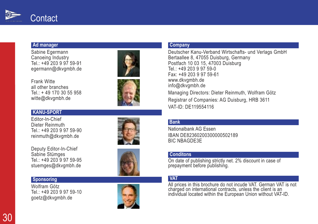

#### **A d m a n a g e r**

Sabine Egermann i Canoeing Industry i Tel.: +49 203 9 97 59-91 l egermann@dkvgmbh.de

Frank Witte i all other branches l l Tel.: + 49 170 30 55 958 l witte@dkvgmbh.de i

#### **K A N U - S P O R T**

Editor-In-Chief i i Dieter Reinmuth i i Tel.: +49 203 9 97 59-90 l reinmuth@dkvgmbh.de i

Deputy Editor-In-Chief i i Sabine Stümges i Tel.: +49 203 9 97 59-95 l stuemges@dkvgmbh.de

#### **Sponsoring**

Wolfram Götz l Tel.: +49 203 9 97 59-10 l goetz@dkvgmbh.de





Deutscher Kanu-Verband Wirtschafts- und Verlags GmbH i l Bertaallee 8, 47055 Duisburg, Germany l l i Postfach 10 03 15, 47003 Duisburg i Tel.: +49 203 9 97 59-0 l Fax: +49 203 9 97 59-61 www.dkvgmbh.de i nfo@dkvgmbh.de Managing Directors: Dieter Reinmuth, Wolfram Götz i i i i l Registrar of Companies: AG Duisburg, HRB 3611 i i i VAT-ID: DE119554116

#### **B a n k**

Nationalbank AG Essen i l IBAN DE82360200300000502189 BIC NBAGDE3E

#### **Conditons**

On date of publishing strictly net. 2% discount in case of l i i i l i i prepayment before publishing. l i i

#### **VAT**

All prices in this brochure do not incude VAT. German VAT is not i i i i i charged on international contracts, unless the client is an i i l l l i i i ndividual located within the European Union without VAT-ID. i i l l i i i i

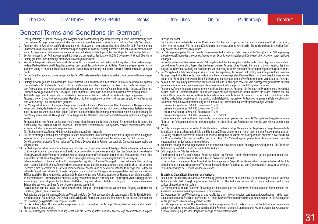### General Terms and Conditions (in German)

- 1. "Anzeigenauftrag" in Sinn der nachfolgenden Allgemeinen Geschäftsbedingungen ist der Vertrag über die Veröffentlichung einer oder mehrerer Anzeigen eines Werbungtreibenden oder sonstigen Inserenten in einer Druckschrift zum Zweck der Verbreitung.
- 2. Anzeigen sind in Zweifel zur Veröffentlichung innerhalb eines Jahres nach Vertragsabschluss abzurufen Ist in Rahmen eines Abschlusses das Recht zumAbruf einzelner Anzeigen eingeräumt, so ist der Auftrag innerhalb eines Jahres seit Erscheinen der ersten Anzeige abzuwickeln, sofern die erste Anzeige innerhalb der in Satz 1 genannten Frist abgerufen und veröffentlicht wird.
- 3. Bei Abschlüssen ist der Auftraggeber berechtigt, innerhalb der vereinbarten bzw. der in Ziffer 2 genannten Frist auch über die in Auftrag genannte Anzeigenmenge hinaus weitere Anzeigen abzurufen.
- 4. Wird ein Auftrag aus Umständen nicht erfüllt, die der Verlag nicht zu vertreten hat, So hat der Auftraggeber, unbeschadet etwaiger weiterer Rechtspflichten, den Unterschied zwischen dem gewährten und dem der tatsächlichen Abnahme entsprechenden Nachlass dem Verlag zu erstatten. Die Erstattung entfällt, wenn die Nichterfüllung on höherer Gewalt in Risikobereich des Verlages beruht.
- 5. Bei der Errechnung der Abnahmemengen werden Text-Millimeterzeilen dem Preis entsprechend in Anzeigen-Millimeter umgerechnet.
- 6. Aufträge für Anzeigen und Fremdbeilagen, die erklärtermaßen ausschließlich in bestimmten Nummern, bestimmten Ausgaben oder an bestimmten Plätzen der Druckschrift veröffentlicht werden sollen, müssen so rechtzeitig beim Verlag eingehen, dass dem Auftraggeber noch vor Anzeigenschluss mitgeteilt werden kann, wenn der Auftrag on diese Weise nicht auszuführen ist. Rubrizierte Anzeigen werden in der jeweiligen Rubrik abgedruckt, ohne dass dies der ausdrücklichen Vereinbarung bedarf.
- 7. Textteil-Anzeigen sind Anzeigen, die mit mindestens drei pagen an den Text und nicht an andere Anzeigen angrenzen. Anzeigen, die on Grund ihrer redaktionellen Gestaltung nicht als Anzeigen erkennbar sind, werden als solche vom Verlag mit dem Wort "Anzeige" deutlich kenntlich gemacht.
- 8. Der Verlag behält sich vor, Anzeigenaufträge auch einzelne Abrufe in Rahmen eines Abschlusses und Beilagenaufträge wegen des Inhalts, der Herkunft oder der technischen Form nach einheitlichen, sachlich gerechtfertigten Grundsätzen des Verlages abzulehnen, wenn deren Inhalt gegen Gesetze oder behördliche Bestimmungen verstößt oder deren Veröffentlichung für den Verlag unzumutbar ist. Dies gilt auch für Aufträge, die bei Geschäftsstellen, Annahmestellen oder Vertretern aufgegeben werden.

Beilagenaufträge sind für den Verlag erst nach Vorlage eines Musters der Beilage und deren Billigung bindend Beilagen, die durch Format oder Aufmachung beim Leser den Eindruck eines Bestandteils der Zeitung oder Zeitschrift erwecken oder Fremdanzeigen enthalten, werden nicht angenommen.

Die Ablehnung eines Auftrages wird dem Auftraggeber unverzüglich mitgeteilt.

- 9. Für die rechtzeitige Lieferung des Anzeigentextes und einwandfreier Druckunterlagen oder der Beilagen ist der Auftraggeber verantwortlich Für erkennbar ungeeignete oder beschädigte Druckunterlagen fordert der Verlag unverzüglich Ersatz an. Der Verlag gewährleistet die für den belegten Titel übliche Druckqualität in Rahmen der durch die Druckunterlagen gegebenen Möglichkeiten.
- 10. Der Auftraggeber hat bei ganz oder teilweise unleserlichen, unrichtigen oder bei unvollständigen Abdruck der Anzeige Anspruch on Zahlungsminderung oder eine einwandfreie Ersatzanzeige, aber nur in demAus- maß, in dem der Zweck der Anzeige beeinträchtigt wurde lässt der Verlag eine ihm hierfür gestellte angemessene Frist verstreichen oder ist die Ersatzanzeige erneut nicht einwandfrei, so hat der Auftraggeber ein Recht on Zahlungsminderung oder Rückgängigmachung des Auftrages. Schadenersatzansprüche aus positiver Forderungsverletzung, Verschulden bei Vertragsabschluss und unerlaubter Handlung sind – auch bei telefonischer Auftragserteilung -ausgeschlossen; Schadensersatzansprüche aus Unmöglichkeit der Leistung und Verzug sind beschränkt on Ersatz des vorhersehbaren Schadens und on das für die betreffende Anzeige oder Beilage zu zahlende Entgelt Dies gilt nicht für Vorsatz und grobe Fahrlässigkeit des Verlegers, seines gesetzlichen Vertreters und seines Erfüllungsgehilfen. Eine Haftung des Verlages für Schäden wegen des Fehlens zugesicherter Eigenschaften bleibt unberührt. Im kaufmännischen Geschäftsverkehr haftet der Verlag darüber hinaus auch nicht für grobe Fahrlässigkeit von Erfüllungsgehilfen; in den übrigen Fällen ist gegenüber Kaufleuten die Haftung für grobe Fahrlässigkeit dem Umfang nach on den voraussehbaren Schaden bis zur Höhe des betreffenden Anzeigenentgelts beschränkt.

Reklamationen müssen – außer bei nicht offensichtlichen Mängeln – innerhalb von vier Wochen nach Eingang von Rechnung und Beleg geltend gemacht werden.

- 11. Probeabzüge werden nur on ausdrücklichen Wunsch geliefert. Der Auftraggeber trägt die Verantwortung für die Richtigkeit der zurückgesandten Probeabzüge. Der Verlag berücksichtigt alle Fehlerkorrekturen, die ihm innerhalb der bei der Obersendung des Probeabzuges gesetzten Frist mitgeteilt werden.
- 12. Sind keine besonderen Größenvorschriften gegeben, so wird die nach Art der Anzeige übliche, tatsächliche Abdruckhöhe der Berechnung zu Grunde gelegt.
- 13. Falls der Auftraggeber nicht Vorauszahlung leistet, wird die Rechnung sofort, möglichst aber 14 Tage nach Veröffentlichung der

Anzeige übersandt.

Die Rechnung ist innerhalb der aus der Preisliste ersichtlichen vom Empfang der Rechnung an laufenden Frist zu bezahlen, sofern nicht in einzelnen Fall eine andere Zahlungsfrist oder Vorauszahlung vereinbart ist. Etwaige Nachlässe für vorzeitige Zahlung werden nach der Preisliste gewährt.

14. Bei Zahlungsverzug oder Stundung werden Zinsen sowie die Einziehungskosten berechnet der Verlag kann bei Zahlungsverzug die weitere Ausführung des laufenden Auftrages bis zur Bezahlung zurückstellen und für die restlichen Anzeigen Vorauszahlung verlangen.

Bei Vorliegen begründeter Zweifel an der Zahlungsfähigkeit des Auftraggebers ist der Verlag berechtigt, auch während der Laufzeit eines Anzeigenabschlusses das Erscheinen weiterer Anzeigen ohne Rücksicht on ein ursprünglich vereinbartes Zahlungsziel von der Vorauszahlung des Betrages und von dem Ausgleich offen stehender Rechnungsbeträge abhängig zu machen.

- 15. Der Verlag liefert mit der Rechnung on Wunsch einen Anzeigenbeleg Je nach Art und Umfang des Anzeigenauftrages werden Anzeigenausschnitte, Belegseiten oder vollständige Belegnummern geliefert Kann ein Beleg nicht mehr beschafft werden, so tritt an seine Stelle eine rechtsverbindliche Bescheinigung des Verlages über die Veröffentlichung und Verbreitung der Anzeige.
- 16. Kosten für die Anfertigung bestellter Druckstöcke, Matern und Zeichnungen sowie für vom Auftraggeber gewünschte oder zu vertretende erhebliche Änderungen ursprünglich vereinbarter Ausführungen hat der Auftraggeber zu tragen.
- 17. Aus einer Auflagenminderung kann bei einem Abschluss über mehrere Anzeigen ein Anspruch on Preisminderung hergeleitet werden, wenn in Gesamtdurchschnitt des mit der ersten Anzeige beginnenden Insertionsjahres die in der Preisliste oder on andere Weise genannte durchschnittliche Auflage oder – wenn eine Auflage nicht genannt ist – die durchschnittlich verkaufte (bei Fachzeitschriften gegebenenfalls die durchschnittlich tatsächlich verbreitete) Auflage des vergangenen Kalenderjahres unterschritten wird. Eine Auflagenminderung ist nur dann ein zur Preisminderung berechtigender Mangel, wenn sie
	- bei einer Auflage bis zu 50 000 Exemplaren 20 v. H.
	- bei einer Auflage bis zu 100 000 Exemplaren 15 v. H.
	- bei einer Auflage bis zu 500 000 Exemplaren 10 v. H
	- bei einer Auflage über 500 000 Exemplaren 5 v. H. beträgt.

Darüber hinaus sind bei Abschlüssen Preisminderungsansprüche ausgeschlossen, wenn der Verlag demAuftraggeber von dem Absinken der Auflage so rechtzeitig Kenntnis gegeben hat, dass dieser vor Erscheinen der Anzeige vom Vertrag zurücktreten konnte.

- 18. Bei Ziffernanzeigen wendet der Verlag für die Verwahrung und rechtzeitige Weitergabe der Angebote die Sorgfalt eines ordentlichen Kaufmanns an. Einschreibebriefe und Eilbriefe on Ziffernanzeigen werden nur on dem normalen Postweg weitergeleitet. Der Verlag behält sich in Interesse und zum Schutz des Auftraggebers das Recht vor, die eingehenden Angebote zur Ausschaltung von Missbrauch des Zifferndienstes zu Prüfzwecken zu öffnen. Zur Weiterleitung von geschäftlichen Anpreisungen und Vermittlungsangeboten ist der Verlag nicht verpflichtet.
- 19. Matern und sonstige Druckvorlagen werden nur on besondere Anforderung an den Auftraggeber zurückgesandt. Die Pflicht zur Aufbewahrung endet drei month nach Ablauf des Auftrages.
- 20. Erfüllungsort ist der Sitz des Verlages.

Gerichtsstand ist der Sitz des Verlages. Soweit Ansprüche des Verlages nicht in Mahnverfahren geltend gemacht werden, bestimmt sich der Gerichtsstand bei Nicht-Kaufleuten nach deren Wohnsitz.

Ist der Wohnsitz oder gewöhnliche Aufenthalt des Auftraggebers in Zeitpunkt der Klageerhebung unbekannt oder hat der Auftraggeber nach Vertragsschluss seinen Wohnsitz oder gewöhnlichen Aufenthalt aus dem Geltungsbereich des Gesetzes verlegt, ist als Gerichtsstand der Sitz des Verlages vereinbart.

#### **Zusätzliche Geschäftsbedingungen des Verlages**

- a) Sofern nicht ausdrücklich eine andere Vereinbarung getroffen ist, treten neue Tarife bei Preisanpassungen auch für laufende Aufträge sofort in Kraft; dies gilt gegenüber Nichtkaufleuten nicht bei Aufträgen, die innerhalb von vier monthn nach Vertragsabschluss abgewickelt werden sollen.
- b) Der Verlag behält sich das Recht vor, für Anzeigen in Sonderbeilagen oder Kollektiven Sonderpreise und Sonderformate entsprechend den besonderen Gegebenheiten zu vereinbaren.
- c) Die Werbungsmittler und Werbeagenturen sind verpflichtet, sich in ihren Angeboten, Verträgen und Abrechnungen mit den Werbungtreibenden an die Preisliste des Verlages zu halten. Die vom Verlag gewährte Mittlungsvergütung darf an die Auftraggeber weder ganz noch teilweise weitergegeben werden.
- d) Sind etwaige Mängel bei den Druckunterlagen des Auftraggebers nicht sofort erkennbar, so hat der Auftraggeber bei ungenügenden Abdruck keine Ansprüche. Das Gleiche gilt bei Fehlern in wiederholt erscheinenden Anzeigen, wenn der Auftraggeber nicht vor Drucklegung der nächstfolgenden Anzeige on den Fehler hinweist.